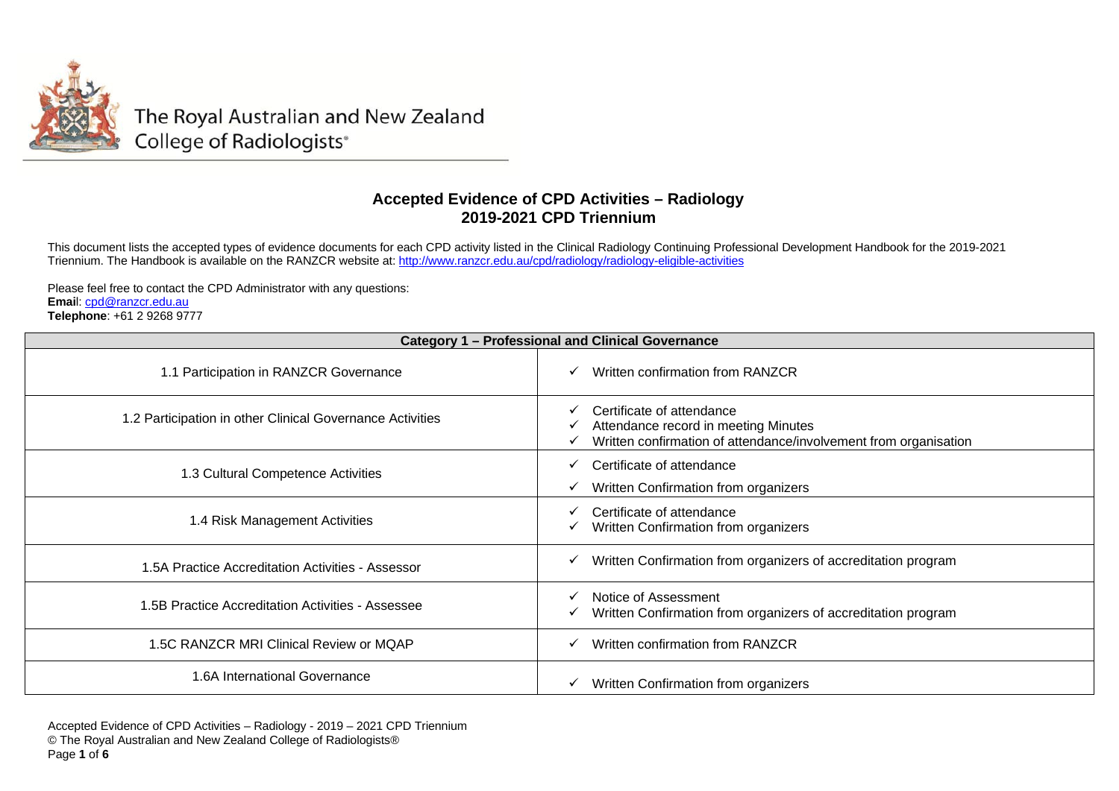

The Royal Australian and New Zealand College of Radiologists®

## **Accepted Evidence of CPD Activities – Radiology 2019-2021 CPD Triennium**

This document lists the accepted types of evidence documents for each CPD activity listed in the Clinical Radiology Continuing Professional Development Handbook for the 2019-2021 Triennium. The Handbook is available on the RANZCR website at: <u><http://www.ranzcr.edu.au/cpd/radiology/radiology-eligible-activities></u>

Please feel free to contact the CPD Administrator with any questions: **Emai**l: cpd@ranzcr.edu.au **Telephone**: +61 2 9268 9777

| <b>Category 1 - Professional and Clinical Governance</b>  |                                                                                                                                       |
|-----------------------------------------------------------|---------------------------------------------------------------------------------------------------------------------------------------|
| 1.1 Participation in RANZCR Governance                    | Written confirmation from RANZCR                                                                                                      |
| 1.2 Participation in other Clinical Governance Activities | Certificate of attendance<br>Attendance record in meeting Minutes<br>Written confirmation of attendance/involvement from organisation |
| 1.3 Cultural Competence Activities                        | Certificate of attendance<br>Written Confirmation from organizers                                                                     |
| 1.4 Risk Management Activities                            | Certificate of attendance<br>Written Confirmation from organizers                                                                     |
| 1.5A Practice Accreditation Activities - Assessor         | Written Confirmation from organizers of accreditation program                                                                         |
| .5B Practice Accreditation Activities - Assessee          | Notice of Assessment<br>Written Confirmation from organizers of accreditation program                                                 |
| 1.5C RANZCR MRI Clinical Review or MQAP                   | Written confirmation from RANZCR                                                                                                      |
| 1.6A International Governance                             | Written Confirmation from organizers                                                                                                  |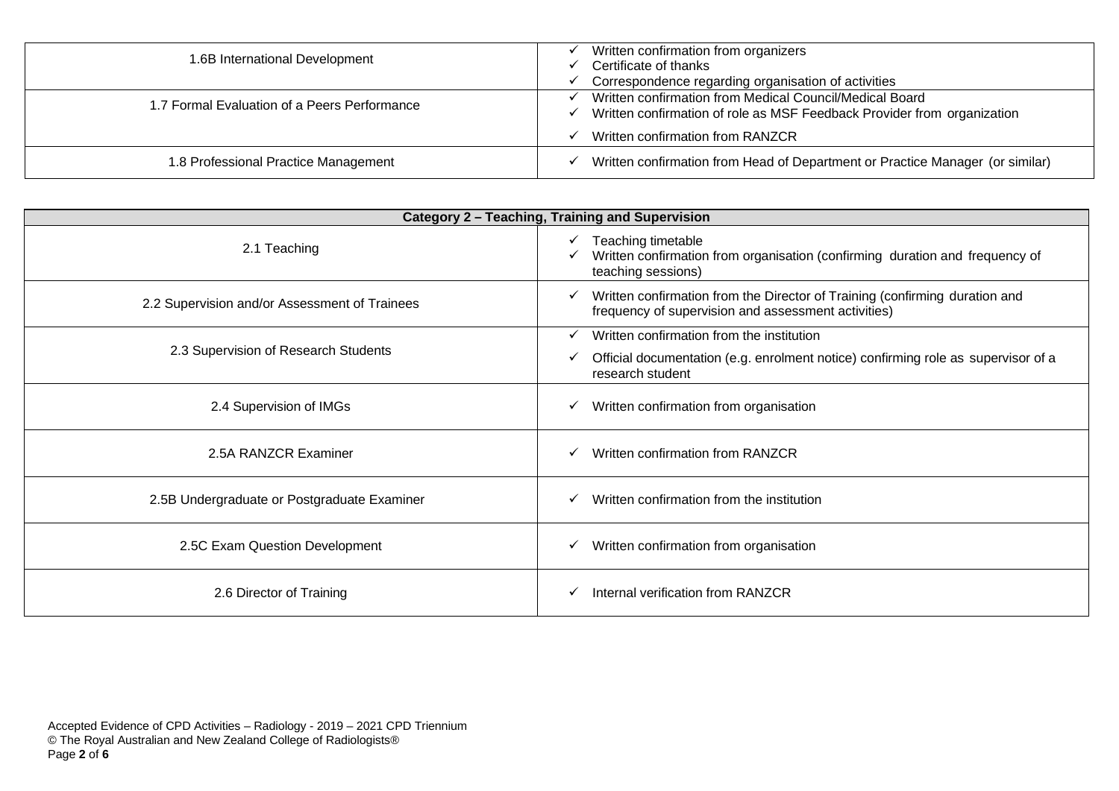| 1.6B International Development               | Written confirmation from organizers<br>Certificate of thanks<br>Correspondence regarding organisation of activities               |
|----------------------------------------------|------------------------------------------------------------------------------------------------------------------------------------|
| 1.7 Formal Evaluation of a Peers Performance | Written confirmation from Medical Council/Medical Board<br>Written confirmation of role as MSF Feedback Provider from organization |
|                                              | Written confirmation from RANZCR                                                                                                   |
| 1.8 Professional Practice Management         | Written confirmation from Head of Department or Practice Manager (or similar)                                                      |

| Category 2 - Teaching, Training and Supervision |                                                                                                                                         |
|-------------------------------------------------|-----------------------------------------------------------------------------------------------------------------------------------------|
| 2.1 Teaching                                    | Teaching timetable<br>Written confirmation from organisation (confirming duration and frequency of<br>teaching sessions)                |
| 2.2 Supervision and/or Assessment of Trainees   | Written confirmation from the Director of Training (confirming duration and<br>✓<br>frequency of supervision and assessment activities) |
| 2.3 Supervision of Research Students            | Written confirmation from the institution                                                                                               |
|                                                 | Official documentation (e.g. enrolment notice) confirming role as supervisor of a<br>research student                                   |
| 2.4 Supervision of IMGs                         | Written confirmation from organisation<br>√                                                                                             |
| 2.5A RANZCR Examiner                            | Written confirmation from RANZCR                                                                                                        |
| 2.5B Undergraduate or Postgraduate Examiner     | Written confirmation from the institution                                                                                               |
| 2.5C Exam Question Development                  | Written confirmation from organisation                                                                                                  |
| 2.6 Director of Training                        | Internal verification from RANZCR                                                                                                       |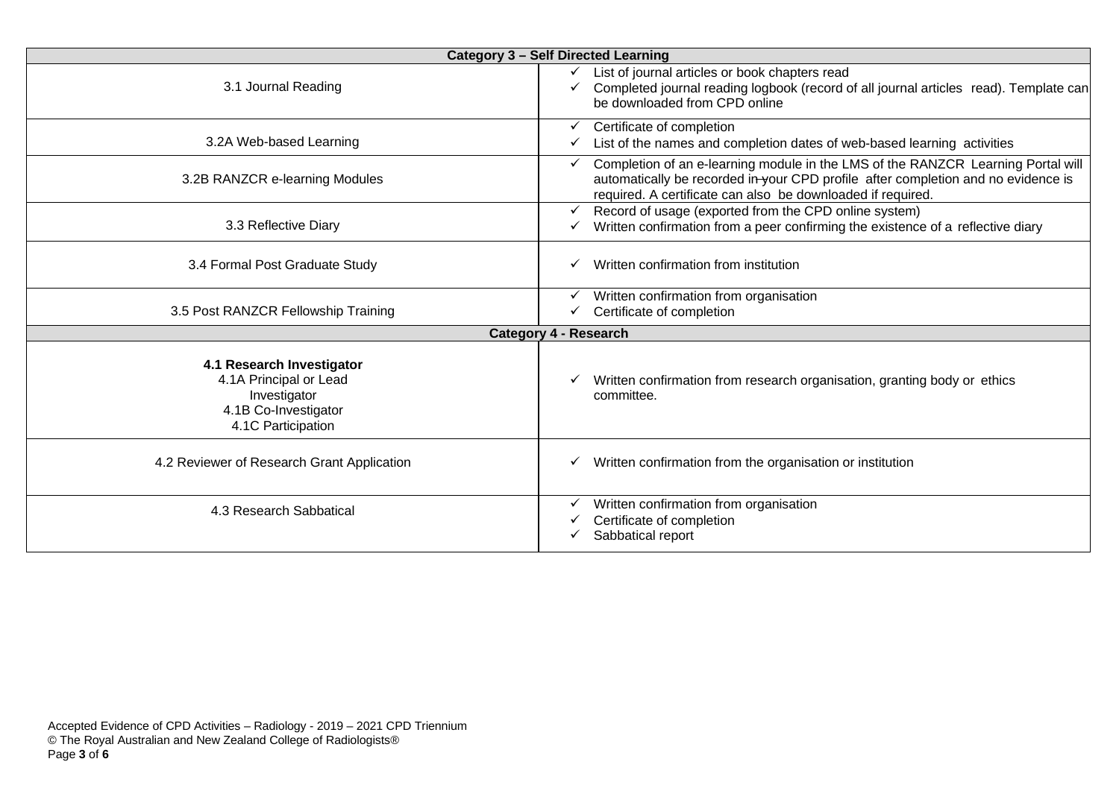| <b>Category 3 - Self Directed Learning</b>                                                                        |                                                                                                                                                                                                                                      |
|-------------------------------------------------------------------------------------------------------------------|--------------------------------------------------------------------------------------------------------------------------------------------------------------------------------------------------------------------------------------|
| 3.1 Journal Reading                                                                                               | List of journal articles or book chapters read<br>Completed journal reading logbook (record of all journal articles read). Template can<br>be downloaded from CPD online                                                             |
| 3.2A Web-based Learning                                                                                           | Certificate of completion<br>List of the names and completion dates of web-based learning activities                                                                                                                                 |
| 3.2B RANZCR e-learning Modules                                                                                    | Completion of an e-learning module in the LMS of the RANZCR Learning Portal will<br>automatically be recorded in your CPD profile after completion and no evidence is<br>required. A certificate can also be downloaded if required. |
| 3.3 Reflective Diary                                                                                              | Record of usage (exported from the CPD online system)<br>Written confirmation from a peer confirming the existence of a reflective diary                                                                                             |
| 3.4 Formal Post Graduate Study                                                                                    | Written confirmation from institution                                                                                                                                                                                                |
| 3.5 Post RANZCR Fellowship Training                                                                               | Written confirmation from organisation<br>Certificate of completion                                                                                                                                                                  |
|                                                                                                                   | <b>Category 4 - Research</b>                                                                                                                                                                                                         |
| 4.1 Research Investigator<br>4.1A Principal or Lead<br>Investigator<br>4.1B Co-Investigator<br>4.1C Participation | Written confirmation from research organisation, granting body or ethics<br>committee.                                                                                                                                               |
| 4.2 Reviewer of Research Grant Application                                                                        | Written confirmation from the organisation or institution                                                                                                                                                                            |
| 4.3 Research Sabbatical                                                                                           | Written confirmation from organisation<br>Certificate of completion<br>Sabbatical report                                                                                                                                             |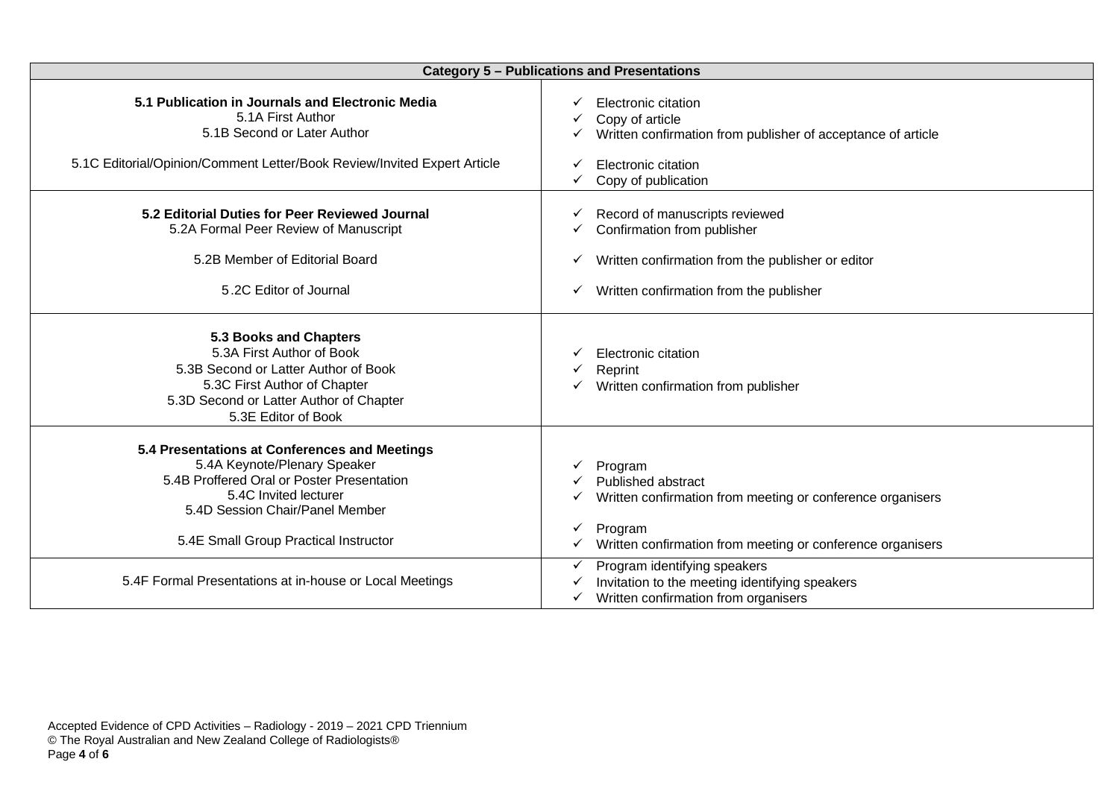| <b>Category 5 - Publications and Presentations</b>                                                                                                                                            |                                                                                                                                                                                      |
|-----------------------------------------------------------------------------------------------------------------------------------------------------------------------------------------------|--------------------------------------------------------------------------------------------------------------------------------------------------------------------------------------|
| 5.1 Publication in Journals and Electronic Media<br>5.1A First Author<br>5.1B Second or Later Author<br>5.1C Editorial/Opinion/Comment Letter/Book Review/Invited Expert Article              | Electronic citation<br>Copy of article<br>Written confirmation from publisher of acceptance of article<br>Electronic citation<br>Copy of publication                                 |
| 5.2 Editorial Duties for Peer Reviewed Journal<br>5.2A Formal Peer Review of Manuscript<br>5.2B Member of Editorial Board<br>5.2C Editor of Journal                                           | Record of manuscripts reviewed<br>Confirmation from publisher<br>Written confirmation from the publisher or editor<br>✓<br>Written confirmation from the publisher<br>✓              |
| 5.3 Books and Chapters<br>5.3A First Author of Book<br>5.3B Second or Latter Author of Book<br>5.3C First Author of Chapter<br>5.3D Second or Latter Author of Chapter<br>5.3E Editor of Book | Electronic citation<br>Reprint<br>Written confirmation from publisher                                                                                                                |
| 5.4 Presentations at Conferences and Meetings<br>5.4A Keynote/Plenary Speaker<br>5.4B Proffered Oral or Poster Presentation<br>5.4C Invited lecturer<br>5.4D Session Chair/Panel Member       | Program<br><b>Published abstract</b><br>Written confirmation from meeting or conference organisers<br>Program                                                                        |
| 5.4E Small Group Practical Instructor<br>5.4F Formal Presentations at in-house or Local Meetings                                                                                              | Written confirmation from meeting or conference organisers<br>Program identifying speakers<br>Invitation to the meeting identifying speakers<br>Written confirmation from organisers |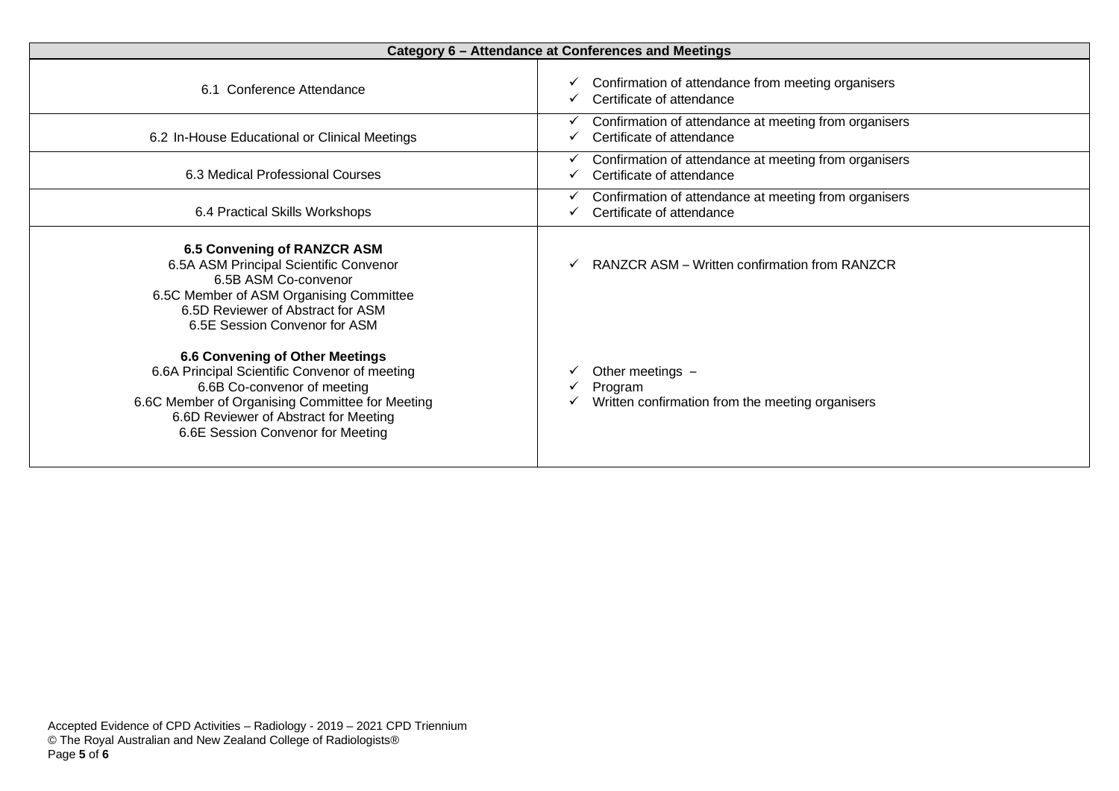| Category 6 - Attendance at Conferences and Meetings                                                                                                                                                                                                     |                                                                                    |
|---------------------------------------------------------------------------------------------------------------------------------------------------------------------------------------------------------------------------------------------------------|------------------------------------------------------------------------------------|
| 6.1 Conference Attendance                                                                                                                                                                                                                               | Confirmation of attendance from meeting organisers<br>Certificate of attendance    |
| 6.2 In-House Educational or Clinical Meetings                                                                                                                                                                                                           | Confirmation of attendance at meeting from organisers<br>Certificate of attendance |
| 6.3 Medical Professional Courses                                                                                                                                                                                                                        | Confirmation of attendance at meeting from organisers<br>Certificate of attendance |
| 6.4 Practical Skills Workshops                                                                                                                                                                                                                          | Confirmation of attendance at meeting from organisers<br>Certificate of attendance |
| <b>6.5 Convening of RANZCR ASM</b><br>6.5A ASM Principal Scientific Convenor<br>6.5B ASM Co-convenor<br>6.5C Member of ASM Organising Committee<br>6.5D Reviewer of Abstract for ASM<br>6.5E Session Convenor for ASM                                   | RANZCR ASM - Written confirmation from RANZCR                                      |
| <b>6.6 Convening of Other Meetings</b><br>6.6A Principal Scientific Convenor of meeting<br>6.6B Co-convenor of meeting<br>6.6C Member of Organising Committee for Meeting<br>6.6D Reviewer of Abstract for Meeting<br>6.6E Session Convenor for Meeting | Other meetings -<br>Program<br>Written confirmation from the meeting organisers    |